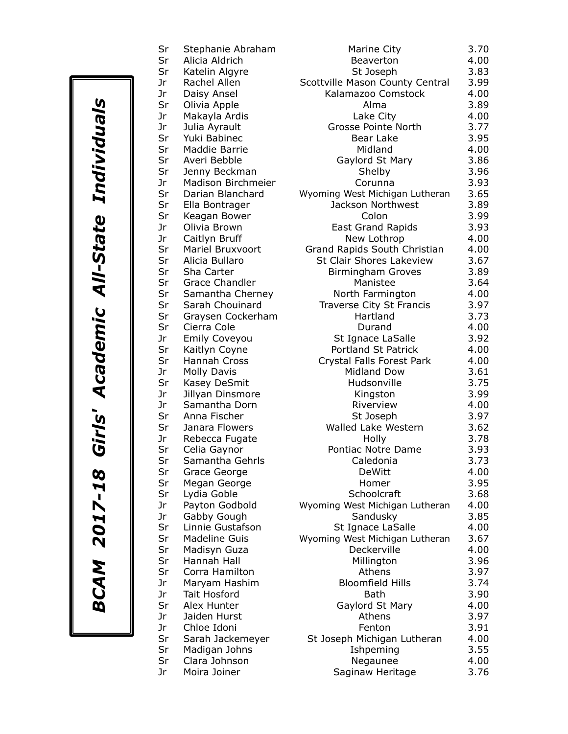| Sr<br>Sr | Stephanie Abraham<br>Alicia Aldrich |                         |
|----------|-------------------------------------|-------------------------|
| Sr       | Katelin Algyre                      |                         |
| Jr       | Rachel Allen                        | Scott                   |
| Jr       | Daisy Ansel                         |                         |
| Sr       | Olivia Apple                        |                         |
| Jr       | Makayla Ardis                       |                         |
| Jr       | Julia Ayrault                       |                         |
| Sr       | Yuki Babinec                        |                         |
| Sr       | Maddie Barrie                       |                         |
| Sr       | Averi Bebble                        |                         |
| Sr       | Jenny Beckman                       |                         |
| Jr.      | <b>Madison Birchmeier</b>           |                         |
| Sr       | Darian Blanchard                    | Wyor                    |
| Sr       | Ella Bontrager                      |                         |
| Sr       | Keagan Bower                        |                         |
| Jr       | Olivia Brown                        |                         |
| Jr       | Caitlyn Bruff                       |                         |
| Sr       | Mariel Bruxvoort                    | Gra                     |
| Sr       | Alicia Bullaro                      | S                       |
| Sr       | Sha Carter                          |                         |
| Sr       | <b>Grace Chandler</b>               |                         |
| Sr       | Samantha Cherney                    |                         |
| Sr       | Sarah Chouinard                     |                         |
| Sr       | Graysen Cockerham                   |                         |
| Sr       | Cierra Cole                         |                         |
| Jr       | <b>Emily Coveyou</b>                |                         |
| Sr       | Kaitlyn Coyne                       |                         |
| Sr       | <b>Hannah Cross</b>                 | $\overline{\mathsf{C}}$ |
| Jr       | <b>Molly Davis</b>                  |                         |
| Sr       | Kasey DeSmit                        |                         |
| Jr       | Jillyan Dinsmore                    |                         |
| Jr       | Samantha Dorn                       |                         |
| Sr       | Anna Fischer                        |                         |
| Sr       | Janara Flowers                      |                         |
| Jr       | Rebecca Fugate                      |                         |
| Sr       | Celia Gaynor                        |                         |
| Sr       | Samantha Gehrls                     |                         |
| Sr       | Grace George                        |                         |
| Sr       | Megan George                        |                         |
| Sr       | Lydia Goble                         |                         |
| Jr       | Payton Godbold                      | Wyor                    |
| Jr       | Gabby Gough                         |                         |
| Sr       | Linnie Gustafson                    |                         |
| Sr       | <b>Madeline Guis</b>                | Wyor                    |
| Sr       | Madisyn Guza                        |                         |
| Sr       | Hannah Hall                         |                         |
| Sr       | Corra Hamilton                      |                         |
| Jr       | Maryam Hashim                       |                         |
| Jr       | <b>Tait Hosford</b>                 |                         |
| Sr<br>Jr | Alex Hunter                         |                         |
| Jr       | Jaiden Hurst<br>Chloe Idoni         |                         |
| Sr       |                                     |                         |
| Sr       | Sarah Jackemeyer                    | St .                    |
| Sr       | Madigan Johns<br>Clara Johnson      |                         |
| Jr.      | Moira Joiner                        |                         |
|          |                                     |                         |

| Sr | Stephanie Abraham     | Marine City                     | 3.70 |
|----|-----------------------|---------------------------------|------|
| Sr | Alicia Aldrich        | Beaverton                       | 4.00 |
| Sr | Katelin Algyre        | St Joseph                       | 3.83 |
| Jr | Rachel Allen          | Scottville Mason County Central | 3.99 |
| Jr | Daisy Ansel           | Kalamazoo Comstock              | 4.00 |
| Sr | Olivia Apple          | Alma                            | 3.89 |
| Jr | Makayla Ardis         | Lake City                       | 4.00 |
| Jr | Julia Ayrault         | Grosse Pointe North             | 3.77 |
| Sr | Yuki Babinec          | Bear Lake                       | 3.95 |
| Sr | Maddie Barrie         | Midland                         | 4.00 |
| Sr | Averi Bebble          | Gaylord St Mary                 | 3.86 |
| Sr | Jenny Beckman         | Shelby                          | 3.96 |
| Jr | Madison Birchmeier    |                                 | 3.93 |
|    |                       | Corunna                         |      |
| Sr | Darian Blanchard      | Wyoming West Michigan Lutheran  | 3.65 |
| Sr | Ella Bontrager        | Jackson Northwest               | 3.89 |
| Sr | Keagan Bower          | Colon                           | 3.99 |
| Jr | Olivia Brown          | <b>East Grand Rapids</b>        | 3.93 |
| Jr | Caitlyn Bruff         | New Lothrop                     | 4.00 |
| Sr | Mariel Bruxvoort      | Grand Rapids South Christian    | 4.00 |
| Sr | Alicia Bullaro        | St Clair Shores Lakeview        | 3.67 |
| Sr | Sha Carter            | <b>Birmingham Groves</b>        | 3.89 |
| Sr | <b>Grace Chandler</b> | Manistee                        | 3.64 |
| Sr | Samantha Cherney      | North Farmington                | 4.00 |
| Sr | Sarah Chouinard       | Traverse City St Francis        | 3.97 |
| Sr | Graysen Cockerham     | Hartland                        | 3.73 |
| Sr | Cierra Cole           | Durand                          | 4.00 |
| Jr | <b>Emily Coveyou</b>  | St Ignace LaSalle               | 3.92 |
| Sr | Kaitlyn Coyne         | Portland St Patrick             | 4.00 |
| Sr | Hannah Cross          | Crystal Falls Forest Park       | 4.00 |
| Jr | <b>Molly Davis</b>    | Midland Dow                     | 3.61 |
| Sr | Kasey DeSmit          | Hudsonville                     | 3.75 |
| Jr | Jillyan Dinsmore      | Kingston                        | 3.99 |
| Jr | Samantha Dorn         | Riverview                       | 4.00 |
| Sr | Anna Fischer          | St Joseph                       | 3.97 |
| Sr | Janara Flowers        | Walled Lake Western             | 3.62 |
| Jr | Rebecca Fugate        | Holly                           | 3.78 |
| Sr | Celia Gaynor          | Pontiac Notre Dame              | 3.93 |
| Sr | Samantha Gehrls       | Caledonia                       | 3.73 |
| Sr | Grace George          | <b>DeWitt</b>                   | 4.00 |
| Sr | Megan George          | Homer                           | 3.95 |
| Sr | Lydia Goble           | Schoolcraft                     | 3.68 |
| Jr | Payton Godbold        | Wyoming West Michigan Lutheran  | 4.00 |
| Jr | Gabby Gough           | Sandusky                        | 3.85 |
| Sr | Linnie Gustafson      | St Ignace LaSalle               | 4.00 |
| Sr | <b>Madeline Guis</b>  |                                 | 3.67 |
|    |                       | Wyoming West Michigan Lutheran  |      |
| Sr | Madisyn Guza          | Deckerville                     | 4.00 |
| Sr | Hannah Hall           | Millington                      | 3.96 |
| Sr | Corra Hamilton        | Athens                          | 3.97 |
| Jr | Maryam Hashim         | <b>Bloomfield Hills</b>         | 3.74 |
| Jr | Tait Hosford          | Bath                            | 3.90 |
| Sr | Alex Hunter           | Gaylord St Mary                 | 4.00 |
| Jr | Jaiden Hurst          | Athens                          | 3.97 |
| Jr | Chloe Idoni           | Fenton                          | 3.91 |
| Sr | Sarah Jackemeyer      | St Joseph Michigan Lutheran     | 4.00 |
| Sr | Madigan Johns         | Ishpeming                       | 3.55 |
| Sr | Clara Johnson         | Negaunee                        | 4.00 |
| Jr | Moira Joiner          | Saginaw Heritage                | 3.76 |
|    |                       |                                 |      |